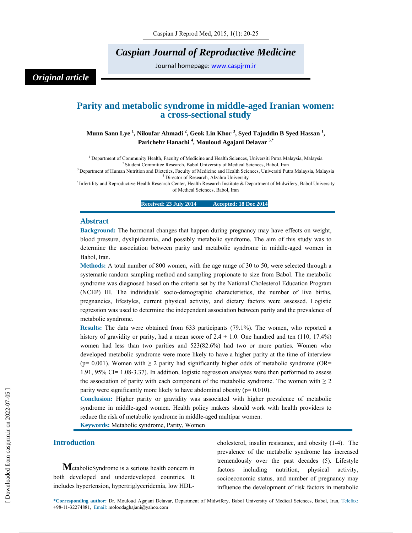# *Caspian Journal of Reproductive Medicine*

Journal homepage: www.caspjrm.ir

## *Original article*

## **Parity and metabolic syndrome in middle-aged Iranian women: a cross-sectional study**

### Munn Sann Lye <sup>1</sup>, Niloufar Ahmadi <sup>2</sup>, Geok Lin Khor <sup>3</sup>, Syed Tajuddin B Syed Hassan <sup>1</sup>, **Parichehr Hanachi 4 , Mouloud Agajani Delavar 5,\***

<sup>1</sup> Department of Community Health, Faculty of Medicine and Health Sciences, Universiti Putra Malaysia, Malaysia

<sup>2</sup> Student Committee Research, Babol University of Medical Sciences, Babol, Iran<br><sup>3</sup> Department of Human Nutrition and Dietetics, Faculty of Medicine and Health Sciences, Universiti Putra Malaysia, Malaysia<br><sup>4</sup> Director o

<sup>5</sup> Infertility and Reproductive Health Research Center, Health Research Institute & Department of Midwifery, Babol University of Medical Sciences, Babol, Iran

**Received: 23 July 2014 •• Accepted: 18 Dec 2014** 

#### **Abstract**

**Background:** The hormonal changes that happen during pregnancy may have effects on weight, blood pressure, dyslipidaemia, and possibly metabolic syndrome. The aim of this study was to determine the association between parity and metabolic syndrome in middle-aged women in Babol, Iran.

**Methods:** A total number of 800 women, with the age range of 30 to 50, were selected through a systematic random sampling method and sampling propionate to size from Babol. The metabolic syndrome was diagnosed based on the criteria set by the National Cholesterol Education Program (NCEP) III. The individuals' socio-demographic characteristics, the number of live births, pregnancies, lifestyles, current physical activity, and dietary factors were assessed. Logistic regression was used to determine the independent association between parity and the prevalence of metabolic syndrome.

**Results:** The data were obtained from 633 participants (79.1%). The women, who reported a history of gravidity or parity, had a mean score of  $2.4 \pm 1.0$ . One hundred and ten (110, 17.4%) women had less than two parities and 523(82.6%) had two or more parties. Women who developed metabolic syndrome were more likely to have a higher parity at the time of interview (p= 0.001). Women with  $\geq 2$  parity had significantly higher odds of metabolic syndrome (OR= 1.91, 95% CI= 1.08-3.37). In addition, logistic regression analyses were then performed to assess the association of parity with each component of the metabolic syndrome. The women with  $\geq 2$ parity were significantly more likely to have abdominal obesity ( $p= 0.010$ ).

**Conclusion:** Higher parity or gravidity was associated with higher prevalence of metabolic syndrome in middle-aged women. Health policy makers should work with health providers to reduce the risk of metabolic syndrome in middle-aged multipar women.

**Keywords:** Metabolic syndrome, Parity, Women

#### **Introduction**

**M**etabolicSyndrome is a serious health concern in both developed and underdeveloped countries. It includes hypertension, hypertriglyceridemia, low HDL- cholesterol, insulin resistance, and obesity (1-4). The prevalence of the metabolic syndrome has increased tremendously over the past decades (5). Lifestyle factors including nutrition, physical activity, socioeconomic status, and number of pregnancy may influence the development of risk factors in metabolic

\***Corresponding author:** Dr. Mouloud Agajani Delavar, Department of Midwifery, Babol University of Medical Sciences, Babol, Iran, Telefax: +98-11-32274881, Email: moloodaghajani@yahoo.com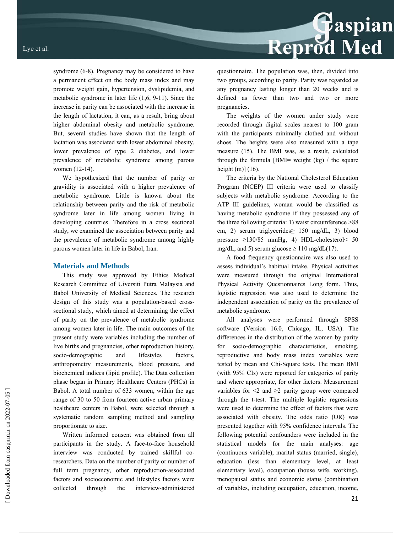syndrome (6-8). Pregnancy may be considered to have a permanent effect on the body mass index and may promote weight gain, hypertension, dyslipidemia, and metabolic syndrome in later life (1,6, 9-11). Since the increase in parity can be associated with the increase in the length of lactation, it can, as a result, bring about higher abdominal obesity and metabolic syndrome. But, several studies have shown that the length of lactation was associated with lower abdominal obesity, lower prevalence of type 2 diabetes, and lower prevalence of metabolic syndrome among parous women (12-14).

We hypothesized that the number of parity or gravidity is associated with a higher prevalence of metabolic syndrome. Little is known about the relationship between parity and the risk of metabolic syndrome later in life among women living in developing countries. Therefore in a cross sectional study, we examined the association between parity and the prevalence of metabolic syndrome among highly parous women later in life in Babol, Iran.

#### **Materials and Methods**

This study was approved by Ethics Medical Research Committee of Uiversiti Putra Malaysia and Babol University of Medical Sciences. The research design of this study was a population-based crosssectional study, which aimed at determining the effect of parity on the prevalence of metabolic syndrome among women later in life. The main outcomes of the present study were variables including the number of live births and pregnancies, other reproduction history, socio-demographic and lifestyles factors, anthropometry measurements, blood pressure, and biochemical indices (lipid profile). The Data collection phase began in Primary Healthcare Centers (PHCs) in Babol. A total number of 633 women, within the age range of 30 to 50 from fourteen active urban primary healthcare centers in Babol, were selected through a systematic random sampling method and sampling proportionate to size.

Written informed consent was obtained from all participants in the study. A face-to-face household interview was conducted by trained skillful coresearchers. Data on the number of parity or number of full term pregnancy, other reproduction-associated factors and socioeconomic and lifestyles factors were collected through the interview-administered

questionnaire. The population was, then, divided into two groups, according to parity. Parity was regarded as any pregnancy lasting longer than 20 weeks and is defined as fewer than two and two or more pregnancies.

Reprod Med

The weights of the women under study were recorded through digital scales nearest to 100 gram with the participants minimally clothed and without shoes. The heights were also measured with a tape measure (15). The BMI was, as a result, calculated through the formula [BMI= weight  $(kg)$  / the square height  $(m)$ ]  $(16)$ .

The criteria by the National Cholesterol Education Program (NCEP) III criteria were used to classify subjects with metabolic syndrome. According to the ATP III guidelines, woman would be classified as having metabolic syndrome if they possessed any of the three following criteria: 1) waist circumference >88 cm, 2) serum triglycerides≥ 150 mg/dL, 3) blood pressure ≥130/85 mmHg, 4) HDL-cholesterol< 50 mg/dL, and 5) serum glucose  $\geq 110$  mg/dL(17).

A food frequency questionnaire was also used to assess individual's habitual intake. Physical activities were measured through the original International Physical Activity Questionnaires Long form. Thus, logistic regression was also used to determine the independent association of parity on the prevalence of metabolic syndrome.

All analyses were performed through SPSS software (Version 16.0, Chicago, IL, USA). The differences in the distribution of the women by parity for socio-demographic characteristics, smoking, reproductive and body mass index variables were tested by mean and Chi-Square tests. The mean BMI (with 95% CIs) were reported for categories of parity and where appropriate, for other factors. Measurement variables for  $\leq 2$  and  $\geq 2$  parity group were compared through the t-test. The multiple logistic regressions were used to determine the effect of factors that were associated with obesity. The odds ratio (OR) was presented together with 95% confidence intervals. The following potential confounders were included in the statistical models for the main analyses: age (continuous variable), marital status (married, single), education (less than elementary level, at least elementary level), occupation (house wife, working), menopausal status and economic status (combination of variables, including occupation, education, income,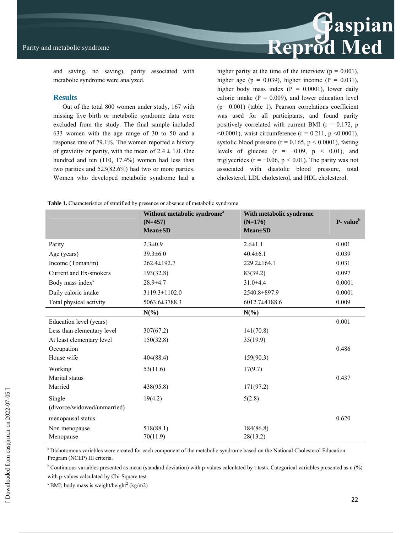

and saving, no saving), parity associated with metabolic syndrome were analyzed.

#### **Results**

Out of the total 800 women under study, 167 with missing live birth or metabolic syndrome data were excluded from the study. The final sample included 633 women with the age range of 30 to 50 and a response rate of 79.1%. The women reported a history of gravidity or parity, with the mean of  $2.4 \pm 1.0$ . One hundred and ten (110, 17.4%) women had less than two parities and 523(82.6%) had two or more parties. Women who developed metabolic syndrome had a higher parity at the time of the interview ( $p = 0.001$ ), higher age ( $p = 0.039$ ), higher income ( $P = 0.031$ ), higher body mass index  $(P = 0.0001)$ , lower daily caloric intake  $(P = 0.009)$ , and lower education level  $(p= 0.001)$  (table 1). Pearson correlations coefficient was used for all participants, and found parity positively correlated with current BMI ( $r = 0.172$ , p  $\leq 0.0001$ ), waist circumference (r = 0.211, p  $\leq 0.0001$ ), systolic blood pressure ( $r = 0.165$ ,  $p < 0.0001$ ), fasting levels of glucose ( $r = -0.09$ ,  $p < 0.01$ ), and triglycerides ( $r = -0.06$ ,  $p < 0.01$ ). The parity was not associated with diastolic blood pressure, total cholesterol, LDL cholesterol, and HDL cholesterol.

|  |  | Table 1. Characteristics of stratified by presence or absence of metabolic syndrome |
|--|--|-------------------------------------------------------------------------------------|
|  |  |                                                                                     |

|                              | Without metabolic syndrome <sup>a</sup><br>$(N=457)$<br><b>Mean</b> ±SD | With metabolic syndrome<br>$(N=176)$<br>$Mean \pm SD$ | P- value <sup>b</sup> |
|------------------------------|-------------------------------------------------------------------------|-------------------------------------------------------|-----------------------|
| Parity                       | $2.3 \pm 0.9$                                                           | $2.6 \pm 1.1$                                         | 0.001                 |
| Age (years)                  | $39.3 \pm 6.0$                                                          | $40.4 \pm 6.1$                                        | 0.039                 |
| Income (Toman/m)             | $262.4 \pm 192.7$                                                       | $229.2 \pm 164.1$                                     | 0.031                 |
| Current and Ex-smokers       | 193(32.8)                                                               | 83(39.2)                                              | 0.097                 |
| Body mass index <sup>c</sup> | $28.9 \pm 4.7$                                                          | $31.0 + 4.4$                                          | 0.0001                |
| Daily caloric intake         | 3119.3±1102.0                                                           | 2540.8±897.9                                          | 0.0001                |
| Total physical activity      | 5063.6±3788.3                                                           | 6012.7±4188.6                                         | 0.009                 |
|                              | $N(\%)$                                                                 | $N(\%)$                                               |                       |
| Education level (years)      |                                                                         |                                                       | 0.001                 |
| Less than elementary level   | 307(67.2)                                                               | 141(70.8)                                             |                       |
| At least elementary level    | 150(32.8)                                                               | 35(19.9)                                              |                       |
| Occupation                   |                                                                         |                                                       | 0.486                 |
| House wife                   | 404(88.4)                                                               | 159(90.3)                                             |                       |
| Working                      | 53(11.6)                                                                | 17(9.7)                                               |                       |
| Marital status               |                                                                         |                                                       | 0.437                 |
| Married                      | 438(95.8)                                                               | 171(97.2)                                             |                       |
| Single                       | 19(4.2)                                                                 | 5(2.8)                                                |                       |
| (divorce/widowed/unmarried)  |                                                                         |                                                       |                       |
| menopausal status            |                                                                         |                                                       | 0.620                 |
| Non menopause                | 518(88.1)                                                               | 184(86.8)                                             |                       |
| Menopause                    | 70(11.9)                                                                | 28(13.2)                                              |                       |

a Dichotomous variables were created for each component of the metabolic syndrome based on the National Cholesterol Education Program (NCEP) III criteria.

 $b$  Continuous variables presented as mean (standard deviation) with p-values calculated by t-tests. Categorical variables presented as n  $\frac{1}{2}$ 

with p-values calculated by Chi-Square test*.* 

 $\rm^c$  BMI; body mass is weight/height<sup>2</sup> (kg/m2)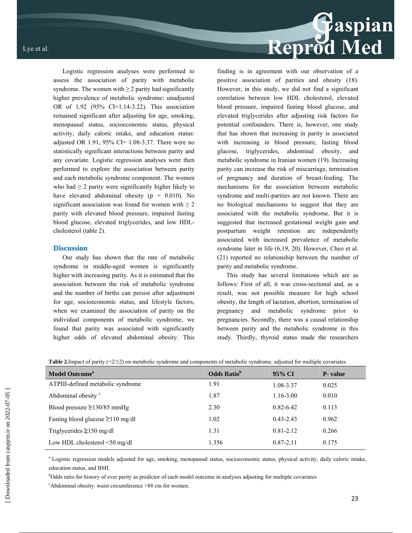Logistic regression analyses were performed to assess the association of parity with metabolic syndrome. The women with  $\geq 2$  parity had significantly higher prevalence of metabolic syndrome: unadjusted OR of 1.92 (95% CI=1.14-3.22). This association remained significant after adjusting for age, smoking, menopausal status, socioeconomic status, physical activity, daily caloric intake, and education status: adjusted OR 1.91, 95% CI= 1.08-3.37. There were no statistically significant interactions between parity and any covariate. Logistic regression analyses were then performed to explore the association between parity and each metabolic syndrome component. The women who had  $\geq 2$  parity were significantly higher likely to finding is in agreement with our observation of a

have elevated abdominal obesity  $(p = 0.010)$ . No significant association was found for women with  $\geq 2$ parity with elevated blood pressure, impaired fasting blood glucose, elevated triglycerides, and low HDLcholesterol (table 2).

#### **Discussion**

Our study has shown that the rate of metabolic syndrome in middle-aged women is significantly higher with increasing parity. As it is estimated that the association between the risk of metabolic syndrome and the number of births can persist after adjustment for age, socioeconomic status, and lifestyle factors, when we examined the association of parity on the individual components of metabolic syndrome, we found that parity was associated with significantly higher odds of elevated abdominal obesity. This positive association of parities and obesity (18). However, in this study, we did not find a significant correlation between low HDL cholesterol, elevated blood pressure, impaired fasting blood glucose, and elevated triglycerides after adjusting risk factors for potential confounders. There is, however, one study that has shown that increasing in parity is associated with increasing in blood pressure, fasting blood glucose, triglycerides, abdominal obesity, and metabolic syndrome in Iranian women (19). Increasing parity can increase the risk of miscarriage, termination of pregnancy and duration of breast-feeding. The mechanisms for the association between metabolic syndrome and multi-parities are not known. There are no biological mechanisms to suggest that they are associated with the metabolic syndrome. But it is suggested that increased gestational weight gain and postpartum weight retention are independently associated with increased prevalence of metabolic syndrome later in life (6,19, 20). However, Cheo et al. (21) reported no relationship between the number of parity and metabolic syndrome.

This study has several limitations which are as follows: First of all, it was cross-sectional and, as a result, was not possible measure for high school obesity, the length of lactation, abortion, termination of pregnancy and metabolic syndrome prior to pregnancies. Secondly, there was a causal relationship between parity and the metabolic syndrome in this study. Thirdly, thyroid status made the researchers

| <b>Model Outcome</b> <sup>a</sup>      | <b>Odds Ratio</b> <sup>b</sup> | 95% CI        | <b>P</b> -value |
|----------------------------------------|--------------------------------|---------------|-----------------|
| ATPIII-defined metabolic syndrome      | 1.91                           | 1.08-3.37     | 0.025           |
| Abdominal obesity <sup>c</sup>         | 1.87                           | $1.16 - 3.00$ | 0.010           |
| Blood pressure $\geq$ 130/85 mmHg      | 2.30                           | $0.82 - 6.42$ | 0.113           |
| Fasting blood glucose $\geq 110$ mg/dl | 1.02                           | $0.43 - 2.43$ | 0.962           |
| Triglycerides $\geq 150$ mg/dl         | 1.31                           | $0.81 - 2.12$ | 0.266           |
| Low HDL cholesterol $\leq 50$ mg/dl    | 1.356                          | $0.87 - 2.11$ | 0.175           |

**Table 2.**Impact of parity (<2/≥2) on metabolic syndrome and components of metabolic syndrome, adjusted for multiple covariates

<sup>a</sup> Logistic regression models adjusted for age, smoking, menopausal status, socioeconomic status, physical activity, daily caloric intake, education status, and BMI.

b Odds ratio for history of ever parity as predictor of each model outcome in analyses adjusting for multiple covariates

c Abdominal obesity: waist circumference >88 cm for women.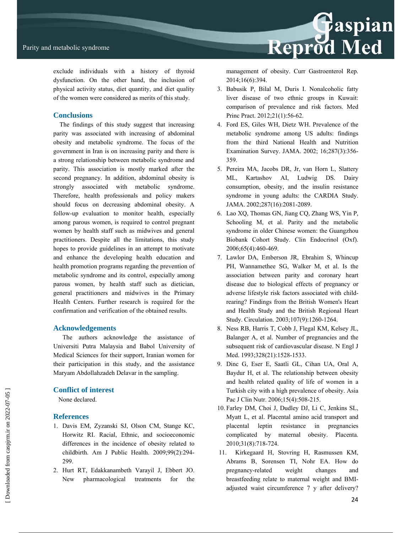

exclude individuals with a history of thyroid dysfunction. On the other hand, the inclusion of physical activity status, diet quantity, and diet quality of the women were considered as merits of this study.

#### **Conclusions**

 The findings of this study suggest that increasing parity was associated with increasing of abdominal obesity and metabolic syndrome. The focus of the government in Iran is on increasing parity and there is a strong relationship between metabolic syndrome and parity. This association is mostly marked after the second pregnancy. In addition, abdominal obesity is strongly associated with metabolic syndrome. Therefore, health professionals and policy makers should focus on decreasing abdominal obesity. A follow-up evaluation to monitor health, especially among parous women, is required to control pregnant women by health staff such as midwives and general practitioners. Despite all the limitations, this study hopes to provide guidelines in an attempt to motivate and enhance the developing health education and health promotion programs regarding the prevention of metabolic syndrome and its control, especially among parous women, by health staff such as dietician, general practitioners and midwives in the Primary Health Centers. Further research is required for the confirmation and verification of the obtained results.

#### **Acknowledgements**

The authors acknowledge the assistance of Universiti Putra Malaysia and Babol University of Medical Sciences for their support, Iranian women for their participation in this study, and the assistance Maryam Abdollahzadeh Delavar in the sampling.

#### **Conflict of interest**

None declared.

#### **References**

- 1. Davis EM, Zyzanski SJ, Olson CM, Stange KC, Horwitz RI. Racial, Ethnic, and socioeconomic differences in the incidence of obesity related to childbirth. Am J Public Health. 2009;99(2):294- 299.
- 2. Hurt RT, Edakkanambeth Varayil J, Ebbert JO. New pharmacological treatments for the

management of obesity. Curr Gastroenterol Rep. 2014;16(6):394.

- 3. Babusik P, Bilal M, Duris I. Nonalcoholic fatty liver disease of two ethnic groups in Kuwait: comparison of prevalence and risk factors. Med Princ Pract. 2012;21(1):56-62.
- 4. Ford ES, Giles WH, Dietz WH. Prevalence of the metabolic syndrome among US adults: findings from the third National Health and Nutrition Examination Survey. JAMA. 2002; 16;287(3):356- 359.
- 5. Pereira MA, Jacobs DR, Jr, van Horn L, Slattery ML, Kartashov AI, Ludwig DS. Dairy consumption, obesity, and the insulin resistance syndrome in young adults: the CARDIA Study. JAMA. 2002;287(16):2081-2089.
- 6. Lao XQ, Thomas GN, Jiang CQ, Zhang WS, Yin P, Schooling M, et al. Parity and the metabolic syndrome in older Chinese women: the Guangzhou Biobank Cohort Study. Clin Endocrinol (Oxf). 2006;65(4):460-469.
- 7. Lawlor DA, Emberson JR, Ebrahim S, Whincup PH, Wannamethee SG, Walker M, et al. Is the association between parity and coronary heart disease due to biological effects of pregnancy or adverse lifestyle risk factors associated with childrearing? Findings from the British Women's Heart and Health Study and the British Regional Heart Study. Circulation. 2003;107(9):1260-1264.
- 8. Ness RB, Harris T, Cobb J, Flegal KM, Kelsey JL, Balanger A, et al. Number of pregnancies and the subsequent risk of cardiovascular disease. N Engl J Med. 1993;328(21):1528-1533.
- 9. Dinc G, Eser E, Saatli GL, Cihan UA, Oral A, Baydur H, et al. The relationship between obesity and health related quality of life of women in a Turkish city with a high prevalence of obesity. Asia Pac J Clin Nutr. 2006;15(4):508-215.
- 10. Farley DM, Choi J, Dudley DJ, Li C, Jenkins SL, Myatt L, et al. Placental amino acid transport and placental leptin resistance in pregnancies complicated by maternal obesity. Placenta. 2010;31(8):718-724.
- 11. Kirkegaard H, Stovring H, Rasmussen KM, Abrams B, Sorensen TI, Nohr EA. How do pregnancy-related weight changes and breastfeeding relate to maternal weight and BMIadjusted waist circumference 7 y after delivery?